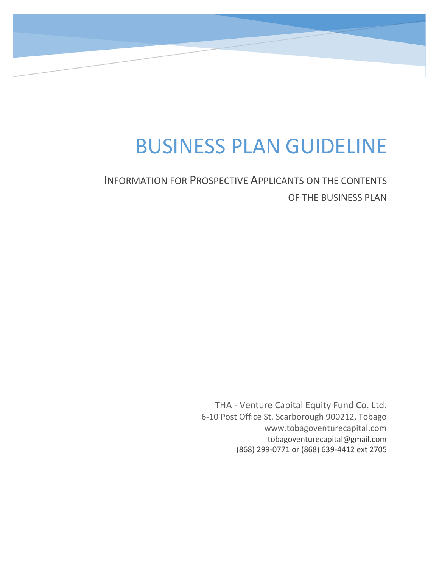# BUSINESS PLAN GUIDELINE

INFORMATION FOR PROSPECTIVE APPLICANTS ON THE CONTENTS OF THE BUSINESS PLAN

> THA - Venture Capital Equity Fund Co. Ltd. 6-10 Post Office St. Scarborough 900212, Tobago www.tobagoventurecapital.com tobagoventurecapital@gmail.com (868) 299-0771 or (868) 639-4412 ext 2705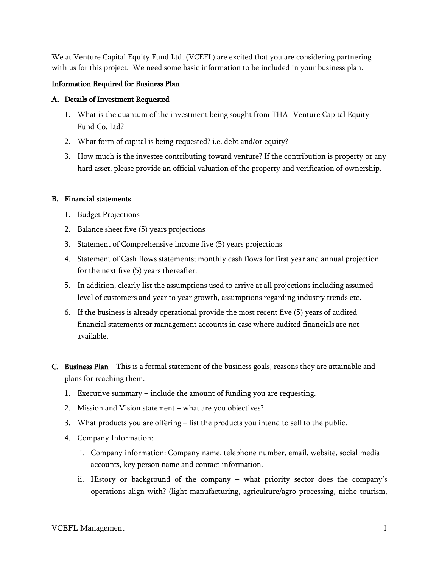We at Venture Capital Equity Fund Ltd. (VCEFL) are excited that you are considering partnering with us for this project. We need some basic information to be included in your business plan.

## Information Required for Business Plan

#### A. Details of Investment Requested

- 1. What is the quantum of the investment being sought from THA -Venture Capital Equity Fund Co. Ltd?
- 2. What form of capital is being requested? i.e. debt and/or equity?
- 3. How much is the investee contributing toward venture? If the contribution is property or any hard asset, please provide an official valuation of the property and verification of ownership.

### B. Financial statements

- 1. Budget Projections
- 2. Balance sheet five (5) years projections
- 3. Statement of Comprehensive income five (5) years projections
- 4. Statement of Cash flows statements; monthly cash flows for first year and annual projection for the next five (5) years thereafter.
- 5. In addition, clearly list the assumptions used to arrive at all projections including assumed level of customers and year to year growth, assumptions regarding industry trends etc.
- 6. If the business is already operational provide the most recent five (5) years of audited financial statements or management accounts in case where audited financials are not available.
- C. Business Plan This is a formal statement of the business goals, reasons they are attainable and plans for reaching them.
	- 1. Executive summary include the amount of funding you are requesting.
	- 2. Mission and Vision statement what are you objectives?
	- 3. What products you are offering list the products you intend to sell to the public.
	- 4. Company Information:
		- i. Company information: Company name, telephone number, email, website, social media accounts, key person name and contact information.
		- ii. History or background of the company what priority sector does the company's operations align with? (light manufacturing, agriculture/agro-processing, niche tourism,